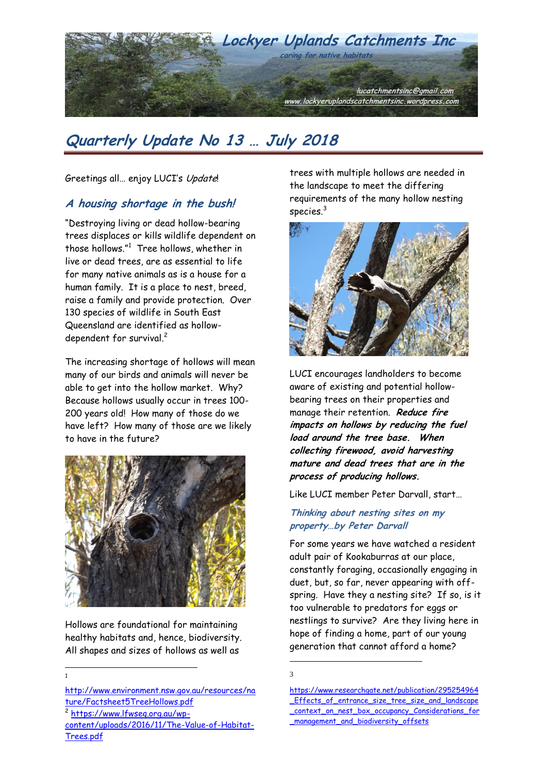

Greetings all... enjoy LUCI's Update!

## **A housing shortage in the bush!**

"Destroying living or dead hollow-bearing trees displaces or kills wildlife dependent on those hollows."<sup>1</sup> Tree hollows, whether in live or dead trees, are as essential to life for many native animals as is a house for a human family. It is a place to nest, breed, raise a family and provide protection. Over 130 species of wildlife in South East Queensland are identified as hollowdependent for survival.<sup>2</sup>

The increasing shortage of hollows will mean many of our birds and animals will never be able to get into the hollow market. Why? Because hollows usually occur in trees 100- 200 years old! How many of those do we have left? How many of those are we likely to have in the future?



Hollows are foundational for maintaining healthy habitats and, hence, biodiversity. All shapes and sizes of hollows as well as

[http://www.environment.nsw.gov.au/resources/na](http://www.environment.nsw.gov.au/resources/nature/Factsheet5TreeHollows.pdf) [ture/Factsheet5TreeHollows.pdf](http://www.environment.nsw.gov.au/resources/nature/Factsheet5TreeHollows.pdf)

2 [https://www.lfwseq.org.au/wp](https://www.lfwseq.org.au/wp-content/uploads/2016/11/The-Value-of-Habitat-Trees.pdf)[content/uploads/2016/11/The-Value-of-Habitat-](https://www.lfwseq.org.au/wp-content/uploads/2016/11/The-Value-of-Habitat-Trees.pdf)[Trees.pdf](https://www.lfwseq.org.au/wp-content/uploads/2016/11/The-Value-of-Habitat-Trees.pdf)

trees with multiple hollows are needed in the landscape to meet the differing requirements of the many hollow nesting species.<sup>3</sup>



LUCI encourages landholders to become aware of existing and potential hollowbearing trees on their properties and manage their retention. **Reduce fire impacts on hollows by reducing the fuel load around the tree base. When collecting firewood, avoid harvesting mature and dead trees that are in the process of producing hollows.** 

Like LUCI member Peter Darvall, start…

**Thinking about nesting sites on my property…by Peter Darvall**

For some years we have watched a resident adult pair of Kookaburras at our place, constantly foraging, occasionally engaging in duet, but, so far, never appearing with offspring. Have they a nesting site? If so, is it too vulnerable to predators for eggs or nestlings to survive? Are they living here in hope of finding a home, part of our young generation that cannot afford a home?

1 3

 $\overline{a}$ 1

[https://www.researchgate.net/publication/295254964](https://www.researchgate.net/publication/295254964_Effects_of_entrance_size_tree_size_and_landscape_context_on_nest_box_occupancy_Considerations_for_management_and_biodiversity_offsets) [\\_Effects\\_of\\_entrance\\_size\\_tree\\_size\\_and\\_landscape](https://www.researchgate.net/publication/295254964_Effects_of_entrance_size_tree_size_and_landscape_context_on_nest_box_occupancy_Considerations_for_management_and_biodiversity_offsets) [\\_context\\_on\\_nest\\_box\\_occupancy\\_Considerations\\_for](https://www.researchgate.net/publication/295254964_Effects_of_entrance_size_tree_size_and_landscape_context_on_nest_box_occupancy_Considerations_for_management_and_biodiversity_offsets) [\\_management\\_and\\_biodiversity\\_offsets](https://www.researchgate.net/publication/295254964_Effects_of_entrance_size_tree_size_and_landscape_context_on_nest_box_occupancy_Considerations_for_management_and_biodiversity_offsets)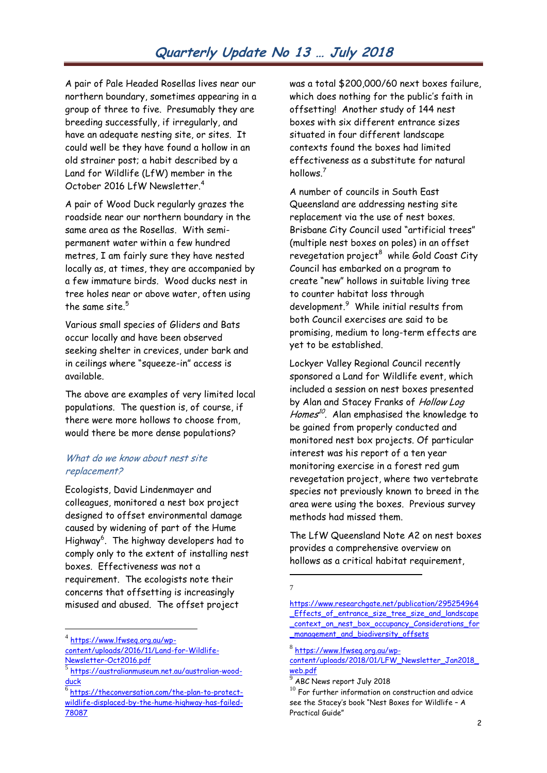A pair of Pale Headed Rosellas lives near our northern boundary, sometimes appearing in a group of three to five. Presumably they are breeding successfully, if irregularly, and have an adequate nesting site, or sites. It could well be they have found a hollow in an old strainer post; a habit described by a Land for Wildlife (LfW) member in the October 2016 LfW Newsletter.<sup>4</sup>

A pair of Wood Duck regularly grazes the roadside near our northern boundary in the same area as the Rosellas. With semipermanent water within a few hundred metres, I am fairly sure they have nested locally as, at times, they are accompanied by a few immature birds. Wood ducks nest in tree holes near or above water, often using the same site  $5$ 

Various small species of Gliders and Bats occur locally and have been observed seeking shelter in crevices, under bark and in ceilings where "squeeze-in" access is available.

The above are examples of very limited local populations. The question is, of course, if there were more hollows to choose from, would there be more dense populations?

#### What do we know about nest site replacement?

Ecologists, David Lindenmayer and colleagues, monitored a nest box project designed to offset environmental damage caused by widening of part of the Hume Highway<sup>6</sup>. The highway developers had to comply only to the extent of installing nest boxes. Effectiveness was not a requirement. The ecologists note their concerns that offsetting is increasingly misused and abused. The offset project

<sup>4</sup> https://www.lfwseg.org.au/wp-

 $\overline{a}$ 

was a total \$200,000/60 next boxes failure, which does nothing for the public's faith in offsetting! Another study of 144 nest boxes with six different entrance sizes situated in four different landscape contexts found the boxes had limited effectiveness as a substitute for natural hollows.<sup>7</sup>

A number of councils in South East Queensland are addressing nesting site replacement via the use of nest boxes. Brisbane City Council used "artificial trees" (multiple nest boxes on poles) in an offset revegetation project<sup>8</sup> while Gold Coast City Council has embarked on a program to create "new" hollows in suitable living tree to counter habitat loss through development.<sup>9</sup> While initial results from both Council exercises are said to be promising, medium to long-term effects are yet to be established.

Lockyer Valley Regional Council recently sponsored a Land for Wildlife event, which included a session on nest boxes presented by Alan and Stacey Franks of Hollow Log Homes<sup>10</sup>. Alan emphasised the knowledge to be gained from properly conducted and monitored nest box projects. Of particular interest was his report of a ten year monitoring exercise in a forest red gum revegetation project, where two vertebrate species not previously known to breed in the area were using the boxes. Previous survey methods had missed them.

The LfW Queensland Note A2 on nest boxes provides a comprehensive overview on hollows as a critical habitat requirement.

[content/uploads/2016/11/Land-for-Wildlife-](https://www.lfwseq.org.au/wp-content/uploads/2016/11/Land-for-Wildlife-Newsletter-Oct2016.pdf)[Newsletter-Oct2016.pdf](https://www.lfwseq.org.au/wp-content/uploads/2016/11/Land-for-Wildlife-Newsletter-Oct2016.pdf)

<sup>5</sup> [https://australianmuseum.net.au/australian-wood](https://australianmuseum.net.au/australian-wood-duck)[duck](https://australianmuseum.net.au/australian-wood-duck)

<sup>6</sup> [https://theconversation.com/the-plan-to-protect](https://theconversation.com/the-plan-to-protect-wildlife-displaced-by-the-hume-highway-has-failed-78087)[wildlife-displaced-by-the-hume-highway-has-failed-](https://theconversation.com/the-plan-to-protect-wildlife-displaced-by-the-hume-highway-has-failed-78087)[78087](https://theconversation.com/the-plan-to-protect-wildlife-displaced-by-the-hume-highway-has-failed-78087)

<sup>1</sup> 7

[https://www.researchgate.net/publication/295254964](https://www.researchgate.net/publication/295254964_Effects_of_entrance_size_tree_size_and_landscape_context_on_nest_box_occupancy_Considerations_for_management_and_biodiversity_offsets) [\\_Effects\\_of\\_entrance\\_size\\_tree\\_size\\_and\\_landscape](https://www.researchgate.net/publication/295254964_Effects_of_entrance_size_tree_size_and_landscape_context_on_nest_box_occupancy_Considerations_for_management_and_biodiversity_offsets) [\\_context\\_on\\_nest\\_box\\_occupancy\\_Considerations\\_for](https://www.researchgate.net/publication/295254964_Effects_of_entrance_size_tree_size_and_landscape_context_on_nest_box_occupancy_Considerations_for_management_and_biodiversity_offsets) [\\_management\\_and\\_biodiversity\\_offsets](https://www.researchgate.net/publication/295254964_Effects_of_entrance_size_tree_size_and_landscape_context_on_nest_box_occupancy_Considerations_for_management_and_biodiversity_offsets)

<sup>8</sup> [https://www.lfwseq.org.au/wp-](https://www.lfwseq.org.au/wp-content/uploads/2018/01/LFW_Newsletter_Jan2018_web.pdf)

[content/uploads/2018/01/LFW\\_Newsletter\\_Jan2018\\_](https://www.lfwseq.org.au/wp-content/uploads/2018/01/LFW_Newsletter_Jan2018_web.pdf) [web.pdf](https://www.lfwseq.org.au/wp-content/uploads/2018/01/LFW_Newsletter_Jan2018_web.pdf)

<sup>9</sup> ABC News report July 2018

 $10$  For further information on construction and advice see the Stacey"s book "Nest Boxes for Wildlife – A Practical Guide"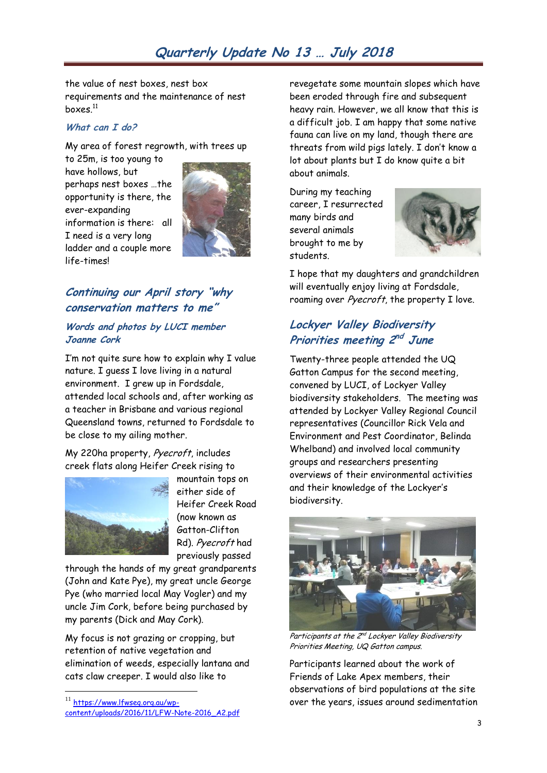the value of nest boxes, nest box requirements and the maintenance of nest boxes. $^{\rm 11}$ 

#### **What can I do?**

My area of forest regrowth, with trees up

to 25m, is too young to have hollows, but perhaps nest boxes …the opportunity is there, the ever-expanding information is there: all I need is a very long ladder and a couple more life-times!



# **Continuing our April story "why conservation matters to me"**

#### **Words and photos by LUCI member Joanne Cork**

I"m not quite sure how to explain why I value nature. I guess I love living in a natural environment. I grew up in Fordsdale, attended local schools and, after working as a teacher in Brisbane and various regional Queensland towns, returned to Fordsdale to be close to my ailing mother.

My 220ha property, Pyecroft, includes creek flats along Heifer Creek rising to



 $\overline{a}$ 

mountain tops on either side of Heifer Creek Road (now known as Gatton-Clifton Rd). Pyecroft had previously passed

through the hands of my great grandparents (John and Kate Pye), my great uncle George Pye (who married local May Vogler) and my uncle Jim Cork, before being purchased by my parents (Dick and May Cork).

My focus is not grazing or cropping, but retention of native vegetation and elimination of weeds, especially lantana and cats claw creeper. I would also like to

revegetate some mountain slopes which have been eroded through fire and subsequent heavy rain. However, we all know that this is a difficult job. I am happy that some native fauna can live on my land, though there are threats from wild pigs lately. I don"t know a lot about plants but I do know quite a bit about animals.

During my teaching career, I resurrected many birds and several animals brought to me by students.



I hope that my daughters and grandchildren will eventually enjoy living at Fordsdale, roaming over Pyecroft, the property I love.

# **Lockyer Valley Biodiversity Priorities meeting 2 nd June**

Twenty-three people attended the UQ Gatton Campus for the second meeting, convened by LUCI, of Lockyer Valley biodiversity stakeholders. The meeting was attended by Lockyer Valley Regional Council representatives (Councillor Rick Vela and Environment and Pest Coordinator, Belinda Whelband) and involved local community groups and researchers presenting overviews of their environmental activities and their knowledge of the Lockyer"s biodiversity.



Participants at the 2<sup>nd</sup> Lockyer Valley Biodiversity Priorities Meeting, UQ Gatton campus.

Participants learned about the work of Friends of Lake Apex members, their observations of bird populations at the site over the years, issues around sedimentation

<sup>11</sup> [https://www.lfwseq.org.au/wp](https://www.lfwseq.org.au/wp-content/uploads/2016/11/LFW-Note-2016_A2.pdf)[content/uploads/2016/11/LFW-Note-2016\\_A2.pdf](https://www.lfwseq.org.au/wp-content/uploads/2016/11/LFW-Note-2016_A2.pdf)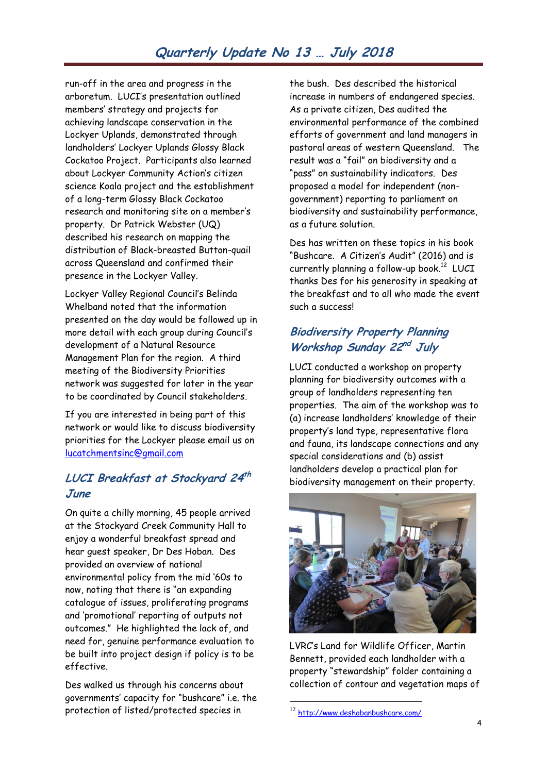run-off in the area and progress in the arboretum. LUCI"s presentation outlined members" strategy and projects for achieving landscape conservation in the Lockyer Uplands, demonstrated through landholders" Lockyer Uplands Glossy Black Cockatoo Project. Participants also learned about Lockyer Community Action's citizen science Koala project and the establishment of a long-term Glossy Black Cockatoo research and monitoring site on a member"s property. Dr Patrick Webster (UQ) described his research on mapping the distribution of Black-breasted Button-quail across Queensland and confirmed their presence in the Lockyer Valley.

Lockyer Valley Regional Council"s Belinda Whelband noted that the information presented on the day would be followed up in more detail with each group during Council"s development of a Natural Resource Management Plan for the region. A third meeting of the Biodiversity Priorities network was suggested for later in the year to be coordinated by Council stakeholders.

If you are interested in being part of this network or would like to discuss biodiversity priorities for the Lockyer please email us on [lucatchmentsinc@gmail.com](mailto:lucatchmentsinc@gmail.com)

# **LUCI Breakfast at Stockyard 24 th June**

On quite a chilly morning, 45 people arrived at the Stockyard Creek Community Hall to enjoy a wonderful breakfast spread and hear guest speaker, Dr Des Hoban. Des provided an overview of national environmental policy from the mid "60s to now, noting that there is "an expanding catalogue of issues, proliferating programs and "promotional" reporting of outputs not outcomes." He highlighted the lack of, and need for, genuine performance evaluation to be built into project design if policy is to be effective.

Des walked us through his concerns about governments" capacity for "bushcare" i.e. the protection of listed/protected species in

the bush. Des described the historical increase in numbers of endangered species. As a private citizen, Des audited the environmental performance of the combined efforts of government and land managers in pastoral areas of western Queensland. The result was a "fail" on biodiversity and a "pass" on sustainability indicators. Des proposed a model for independent (nongovernment) reporting to parliament on biodiversity and sustainability performance, as a future solution.

Des has written on these topics in his book "Bushcare. A Citizen"s Audit" (2016) and is currently planning a follow-up book. $^{12}$  LUCI thanks Des for his generosity in speaking at the breakfast and to all who made the event such a success!

## **Biodiversity Property Planning Workshop Sunday 22<sup>nd</sup> July**

LUCI conducted a workshop on property planning for biodiversity outcomes with a group of landholders representing ten properties. The aim of the workshop was to (a) increase landholders" knowledge of their property"s land type, representative flora and fauna, its landscape connections and any special considerations and (b) assist landholders develop a practical plan for biodiversity management on their property.



LVRC"s Land for Wildlife Officer, Martin Bennett, provided each landholder with a property "stewardship" folder containing a collection of contour and vegetation maps of

<u>.</u>

<sup>&</sup>lt;sup>12</sup> [http://www.deshobanbushcare.com/](http://www.npaq.org.au/event-details/may-2017-quarterly-members-meeting)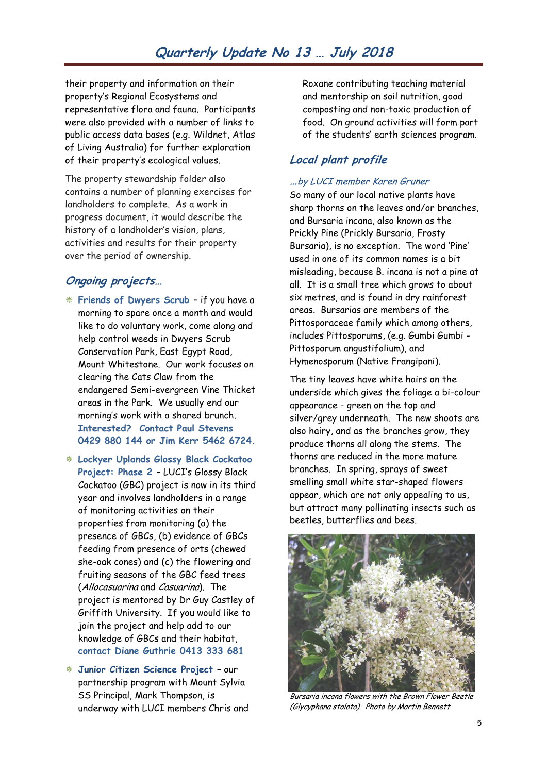their property and information on their property"s Regional Ecosystems and representative flora and fauna. Participants were also provided with a number of links to public access data bases (e.g. Wildnet, Atlas of Living Australia) for further exploration of their property"s ecological values.

The property stewardship folder also contains a number of planning exercises for landholders to complete. As a work in progress document, it would describe the history of a landholder's vision, plans, activities and results for their property over the period of ownership.

#### **Ongoing projects…**

- **Friends of Dwyers Scrub** if you have a morning to spare once a month and would like to do voluntary work, come along and help control weeds in Dwyers Scrub Conservation Park, East Egypt Road, Mount Whitestone. Our work focuses on clearing the Cats Claw from the endangered Semi-evergreen Vine Thicket areas in the Park. We usually end our morning"s work with a shared brunch. **Interested? Contact Paul Stevens 0429 880 144 or Jim Kerr 5462 6724.**
- **Lockyer Uplands Glossy Black Cockatoo Project: Phase 2** – LUCI"s Glossy Black Cockatoo (GBC) project is now in its third year and involves landholders in a range of monitoring activities on their properties from monitoring (a) the presence of GBCs, (b) evidence of GBCs feeding from presence of orts (chewed she-oak cones) and (c) the flowering and fruiting seasons of the GBC feed trees (Allocasuarina and Casuarina). The project is mentored by Dr Guy Castley of Griffith University. If you would like to join the project and help add to our knowledge of GBCs and their habitat, **contact Diane Guthrie 0413 333 681**
- **Junior Citizen Science Project**  our partnership program with Mount Sylvia SS Principal, Mark Thompson, is underway with LUCI members Chris and

Roxane contributing teaching material and mentorship on soil nutrition, good composting and non-toxic production of food. On ground activities will form part of the students" earth sciences program.

## **Local plant profile**

#### **…**by LUCI member Karen Gruner

So many of our local native plants have sharp thorns on the leaves and/or branches, and Bursaria incana, also known as the Prickly Pine (Prickly Bursaria, Frosty Bursaria), is no exception. The word "Pine" used in one of its common names is a bit misleading, because B. incana is not a pine at all. It is a small tree which grows to about six metres, and is found in dry rainforest areas. Bursarias are members of the Pittosporaceae family which among others, includes Pittosporums, (e.g. Gumbi Gumbi - Pittosporum angustifolium), and Hymenosporum (Native Frangipani).

The tiny leaves have white hairs on the underside which gives the foliage a bi-colour appearance - green on the top and silver/grey underneath. The new shoots are also hairy, and as the branches grow, they produce thorns all along the stems. The thorns are reduced in the more mature branches. In spring, sprays of sweet smelling small white star-shaped flowers appear, which are not only appealing to us, but attract many pollinating insects such as beetles, butterflies and bees.



Bursaria incana flowers with the Brown Flower Beetle (Glycyphana stolata). Photo by Martin Bennett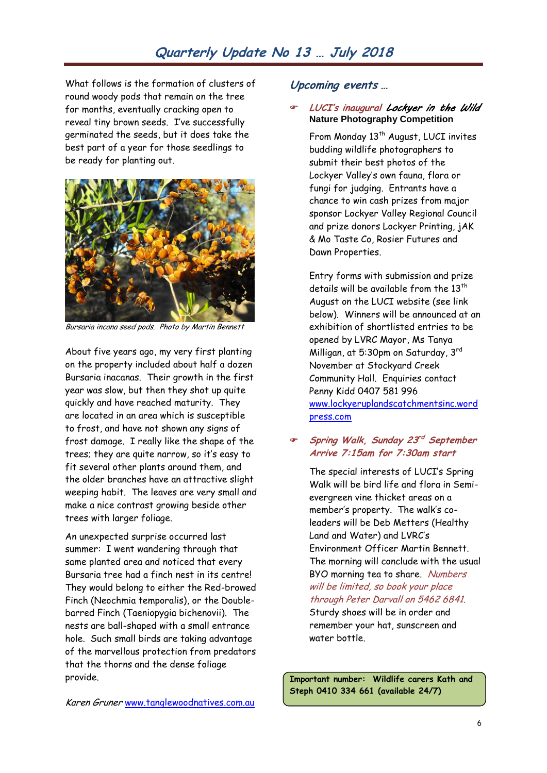**Upcoming events …**

Dawn Properties.

What follows is the formation of clusters of round woody pods that remain on the tree for months, eventually cracking open to reveal tiny brown seeds. I"ve successfully germinated the seeds, but it does take the best part of a year for those seedlings to be ready for planting out.



Bursaria incana seed pods. Photo by Martin Bennett

About five years ago, my very first planting on the property included about half a dozen Bursaria inacanas. Their growth in the first year was slow, but then they shot up quite quickly and have reached maturity. They are located in an area which is susceptible to frost, and have not shown any signs of frost damage. I really like the shape of the trees; they are quite narrow, so it"s easy to fit several other plants around them, and the older branches have an attractive slight weeping habit. The leaves are very small and make a nice contrast growing beside other trees with larger foliage.

An unexpected surprise occurred last summer: I went wandering through that same planted area and noticed that every Bursaria tree had a finch nest in its centre! They would belong to either the Red-browed Finch (Neochmia temporalis), or the Doublebarred Finch (Taeniopygia bichenovii). The nests are ball-shaped with a small entrance hole. Such small birds are taking advantage of the marvellous protection from predators that the thorns and the dense foliage provide.

Entry forms with submission and prize details will be available from the  $13<sup>th</sup>$ August on the LUCI website (see link below). Winners will be announced at an exhibition of shortlisted entries to be opened by LVRC Mayor, Ms Tanya Milligan, at 5:30pm on Saturday, 3rd November at Stockyard Creek Community Hall. Enquiries contact Penny Kidd 0407 581 996 [www.lockyeruplandscatchmentsinc.word](http://www.lockyeruplandscatchmentsinc.wordpress.com/) [press.com](http://www.lockyeruplandscatchmentsinc.wordpress.com/) 

**LUCI's inaugural** *Lockyer in the Wild* 

From Monday 13<sup>th</sup> August, LUCI invites budding wildlife photographers to submit their best photos of the Lockyer Valley"s own fauna, flora or fungi for judging. Entrants have a chance to win cash prizes from major sponsor Lockyer Valley Regional Council and prize donors Lockyer Printing, jAK & Mo Taste Co, Rosier Futures and

**Nature Photography Competition**

#### **Spring Walk, Sunday 23 rd September Arrive 7:15am for 7:30am start**

The special interests of LUCI"s Spring Walk will be bird life and flora in Semievergreen vine thicket areas on a member's property. The walk's coleaders will be Deb Metters (Healthy Land and Water) and LVRC"s Environment Officer Martin Bennett. The morning will conclude with the usual BYO morning tea to share. Numbers will be limited, so book your place through Peter Darvall on 5462 6841. Sturdy shoes will be in order and

remember your hat, sunscreen and water bottle.

**Important number: Wildlife carers Kath and Steph 0410 334 661 (available 24/7)**

Karen Gruner www.tanglewoodnatives.com.au